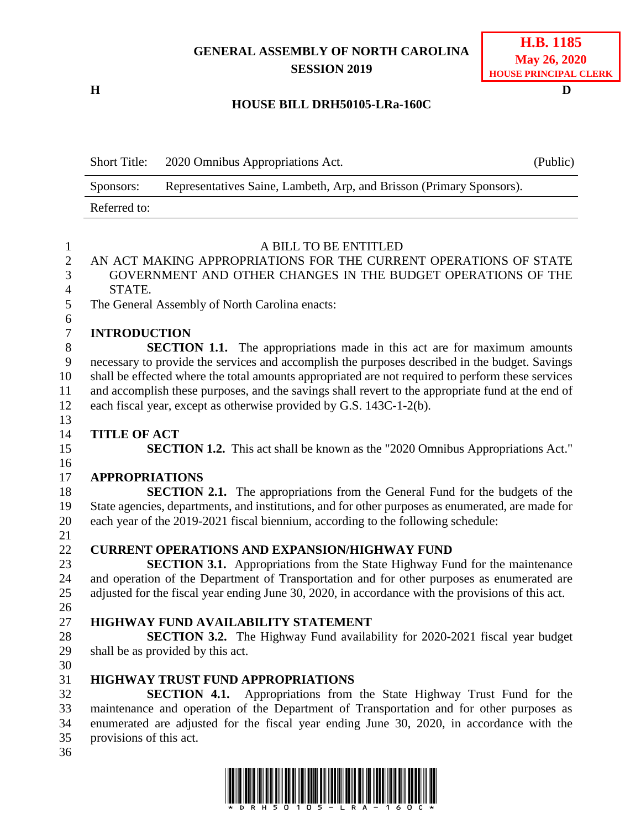## **GENERAL ASSEMBLY OF NORTH CAROLINA SESSION 2019**

**H D**

## **HOUSE BILL DRH50105-LRa-160C**

Short Title: 2020 Omnibus Appropriations Act. (Public) Sponsors: Representatives Saine, Lambeth, Arp, and Brisson (Primary Sponsors). Referred to:

| $\mathbf{1}$                       | A BILL TO BE ENTITLED                                                                             |  |  |
|------------------------------------|---------------------------------------------------------------------------------------------------|--|--|
| $\overline{2}$                     | AN ACT MAKING APPROPRIATIONS FOR THE CURRENT OPERATIONS OF STATE                                  |  |  |
| 3                                  | GOVERNMENT AND OTHER CHANGES IN THE BUDGET OPERATIONS OF THE                                      |  |  |
| $\overline{4}$                     | STATE.                                                                                            |  |  |
| 5                                  | The General Assembly of North Carolina enacts:                                                    |  |  |
| $\boldsymbol{6}$<br>$\overline{7}$ | <b>INTRODUCTION</b>                                                                               |  |  |
| $8\,$                              | <b>SECTION 1.1.</b> The appropriations made in this act are for maximum amounts                   |  |  |
| 9                                  | necessary to provide the services and accomplish the purposes described in the budget. Savings    |  |  |
| 10                                 | shall be effected where the total amounts appropriated are not required to perform these services |  |  |
| 11                                 | and accomplish these purposes, and the savings shall revert to the appropriate fund at the end of |  |  |
| 12                                 | each fiscal year, except as otherwise provided by G.S. 143C-1-2(b).                               |  |  |
| 13                                 |                                                                                                   |  |  |
| 14                                 | <b>TITLE OF ACT</b>                                                                               |  |  |
| 15                                 | <b>SECTION 1.2.</b> This act shall be known as the "2020 Omnibus Appropriations Act."             |  |  |
| 16                                 |                                                                                                   |  |  |
| 17                                 | <b>APPROPRIATIONS</b>                                                                             |  |  |
| 18                                 | <b>SECTION 2.1.</b> The appropriations from the General Fund for the budgets of the               |  |  |
| 19                                 | State agencies, departments, and institutions, and for other purposes as enumerated, are made for |  |  |
| 20                                 | each year of the 2019-2021 fiscal biennium, according to the following schedule:                  |  |  |
| 21                                 |                                                                                                   |  |  |
| 22                                 | <b>CURRENT OPERATIONS AND EXPANSION/HIGHWAY FUND</b>                                              |  |  |
| 23                                 | <b>SECTION 3.1.</b> Appropriations from the State Highway Fund for the maintenance                |  |  |
| 24                                 | and operation of the Department of Transportation and for other purposes as enumerated are        |  |  |
| 25                                 | adjusted for the fiscal year ending June 30, 2020, in accordance with the provisions of this act. |  |  |
| 26                                 |                                                                                                   |  |  |
| 27                                 | HIGHWAY FUND AVAILABILITY STATEMENT                                                               |  |  |
| 28                                 | <b>SECTION 3.2.</b> The Highway Fund availability for 2020-2021 fiscal year budget                |  |  |
| 29                                 | shall be as provided by this act.                                                                 |  |  |
| 30                                 |                                                                                                   |  |  |
| 31                                 | <b>HIGHWAY TRUST FUND APPROPRIATIONS</b>                                                          |  |  |
| 32                                 | Appropriations from the State Highway Trust Fund for the<br><b>SECTION 4.1.</b>                   |  |  |
| 33                                 | maintenance and operation of the Department of Transportation and for other purposes as           |  |  |
| 34                                 | enumerated are adjusted for the fiscal year ending June 30, 2020, in accordance with the          |  |  |
| 35                                 | provisions of this act.                                                                           |  |  |
| 36                                 |                                                                                                   |  |  |
|                                    |                                                                                                   |  |  |